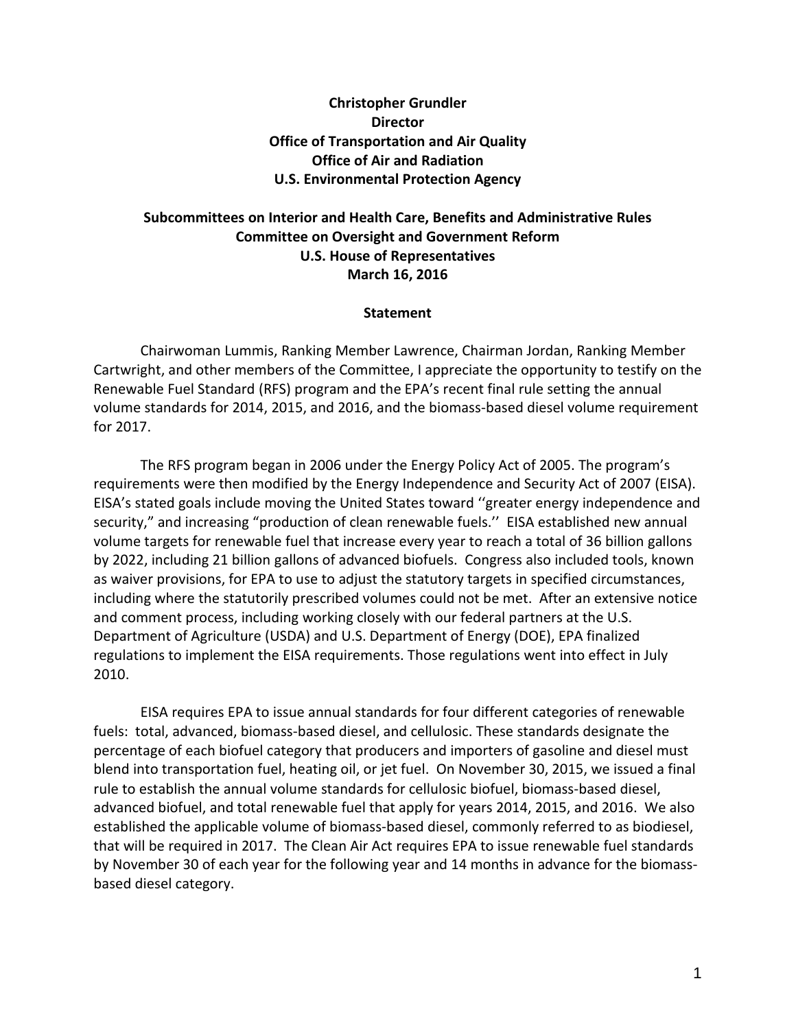## **Christopher Grundler Director Office of Transportation and Air Quality Office of Air and Radiation U.S. Environmental Protection Agency**

## **Subcommittees on Interior and Health Care, Benefits and Administrative Rules Committee on Oversight and Government Reform U.S. House of Representatives March 16, 2016**

## **Statement**

Chairwoman Lummis, Ranking Member Lawrence, Chairman Jordan, Ranking Member Cartwright, and other members of the Committee, I appreciate the opportunity to testify on the Renewable Fuel Standard (RFS) program and the EPA's recent final rule setting the annual volume standards for 2014, 2015, and 2016, and the biomass-based diesel volume requirement for 2017.

The RFS program began in 2006 under the Energy Policy Act of 2005. The program's requirements were then modified by the Energy Independence and Security Act of 2007 (EISA). EISA's stated goals include moving the United States toward ''greater energy independence and security," and increasing "production of clean renewable fuels.'' EISA established new annual volume targets for renewable fuel that increase every year to reach a total of 36 billion gallons by 2022, including 21 billion gallons of advanced biofuels. Congress also included tools, known as waiver provisions, for EPA to use to adjust the statutory targets in specified circumstances, including where the statutorily prescribed volumes could not be met. After an extensive notice and comment process, including working closely with our federal partners at the U.S. Department of Agriculture (USDA) and U.S. Department of Energy (DOE), EPA finalized regulations to implement the EISA requirements. Those regulations went into effect in July 2010.

EISA requires EPA to issue annual standards for four different categories of renewable fuels: total, advanced, biomass-based diesel, and cellulosic. These standards designate the percentage of each biofuel category that producers and importers of gasoline and diesel must blend into transportation fuel, heating oil, or jet fuel. On November 30, 2015, we issued a final rule to establish the annual volume standards for cellulosic biofuel, biomass-based diesel, advanced biofuel, and total renewable fuel that apply for years 2014, 2015, and 2016. We also established the applicable volume of biomass-based diesel, commonly referred to as biodiesel, that will be required in 2017. The Clean Air Act requires EPA to issue renewable fuel standards by November 30 of each year for the following year and 14 months in advance for the biomassbased diesel category.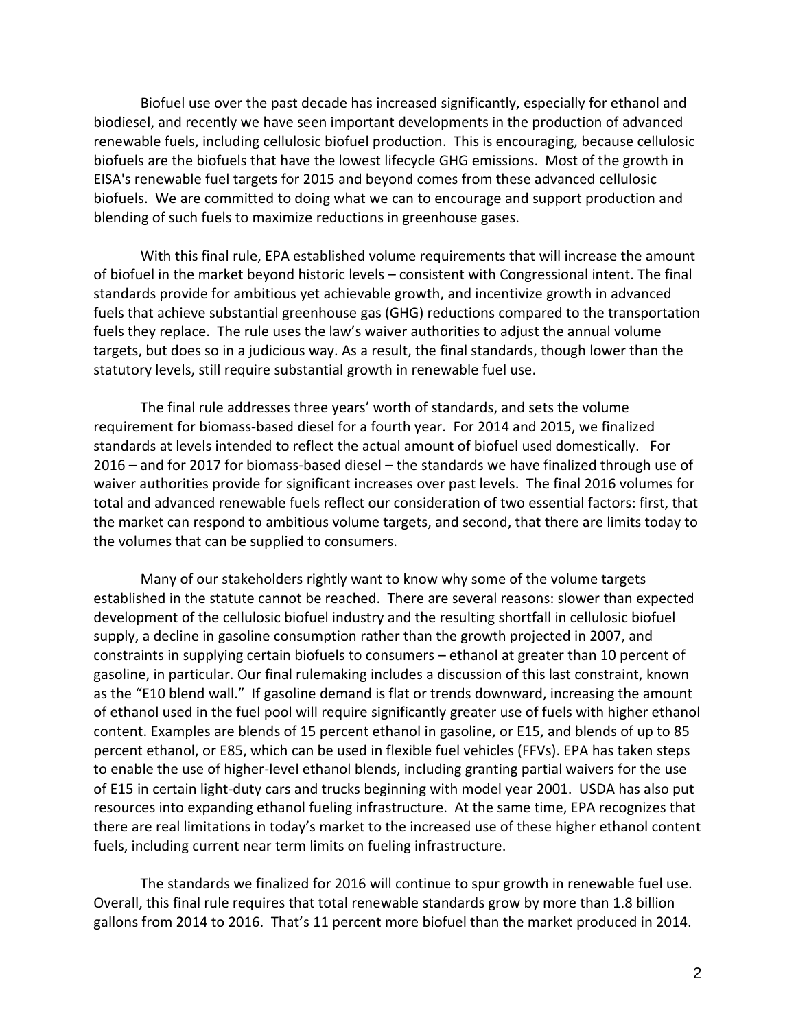Biofuel use over the past decade has increased significantly, especially for ethanol and biodiesel, and recently we have seen important developments in the production of advanced renewable fuels, including cellulosic biofuel production. This is encouraging, because cellulosic biofuels are the biofuels that have the lowest lifecycle GHG emissions. Most of the growth in EISA's renewable fuel targets for 2015 and beyond comes from these advanced cellulosic biofuels. We are committed to doing what we can to encourage and support production and blending of such fuels to maximize reductions in greenhouse gases.

With this final rule, EPA established volume requirements that will increase the amount of biofuel in the market beyond historic levels – consistent with Congressional intent. The final standards provide for ambitious yet achievable growth, and incentivize growth in advanced fuels that achieve substantial greenhouse gas (GHG) reductions compared to the transportation fuels they replace. The rule uses the law's waiver authorities to adjust the annual volume targets, but does so in a judicious way. As a result, the final standards, though lower than the statutory levels, still require substantial growth in renewable fuel use.

The final rule addresses three years' worth of standards, and sets the volume requirement for biomass-based diesel for a fourth year. For 2014 and 2015, we finalized standards at levels intended to reflect the actual amount of biofuel used domestically. For 2016 – and for 2017 for biomass-based diesel – the standards we have finalized through use of waiver authorities provide for significant increases over past levels. The final 2016 volumes for total and advanced renewable fuels reflect our consideration of two essential factors: first, that the market can respond to ambitious volume targets, and second, that there are limits today to the volumes that can be supplied to consumers.

Many of our stakeholders rightly want to know why some of the volume targets established in the statute cannot be reached. There are several reasons: slower than expected development of the cellulosic biofuel industry and the resulting shortfall in cellulosic biofuel supply, a decline in gasoline consumption rather than the growth projected in 2007, and constraints in supplying certain biofuels to consumers – ethanol at greater than 10 percent of gasoline, in particular. Our final rulemaking includes a discussion of this last constraint, known as the "E10 blend wall." If gasoline demand is flat or trends downward, increasing the amount of ethanol used in the fuel pool will require significantly greater use of fuels with higher ethanol content. Examples are blends of 15 percent ethanol in gasoline, or E15, and blends of up to 85 percent ethanol, or E85, which can be used in flexible fuel vehicles (FFVs). EPA has taken steps to enable the use of higher-level ethanol blends, including granting partial waivers for the use of E15 in certain light-duty cars and trucks beginning with model year 2001. USDA has also put resources into expanding ethanol fueling infrastructure. At the same time, EPA recognizes that there are real limitations in today's market to the increased use of these higher ethanol content fuels, including current near term limits on fueling infrastructure.

The standards we finalized for 2016 will continue to spur growth in renewable fuel use. Overall, this final rule requires that total renewable standards grow by more than 1.8 billion gallons from 2014 to 2016. That's 11 percent more biofuel than the market produced in 2014.